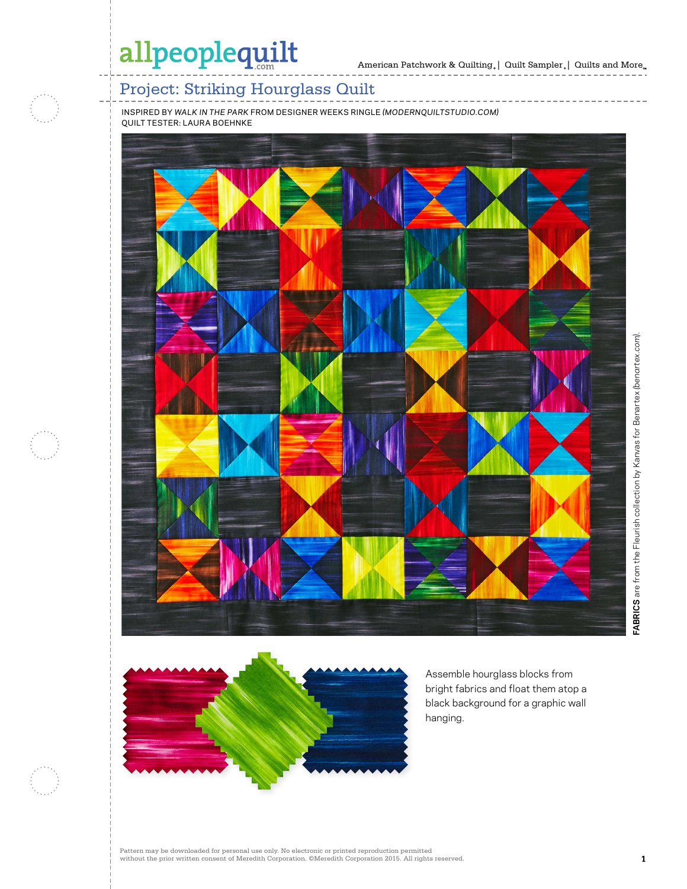# allpeoplequilt

\_\_\_\_\_\_\_\_\_\_\_\_\_\_

## Project: Striking Hourglass Quilt

INSPIRED BY *WALK IN THE PARK* FROM DESIGNER WEEKS RINGLE *(MODERNQUILTSTUDIO.COM)* QUILT TESTER: LAURA BOEHNKE





Assemble hourglass blocks from bright fabrics and float them atop a black background for a graphic wall hanging.

Pattern may be downloaded for personal use only. No electronic or printed reproduction permitted without the prior written consent of Meredith Corporation. ©Meredith Corporation 2015. All rights reserved. **1**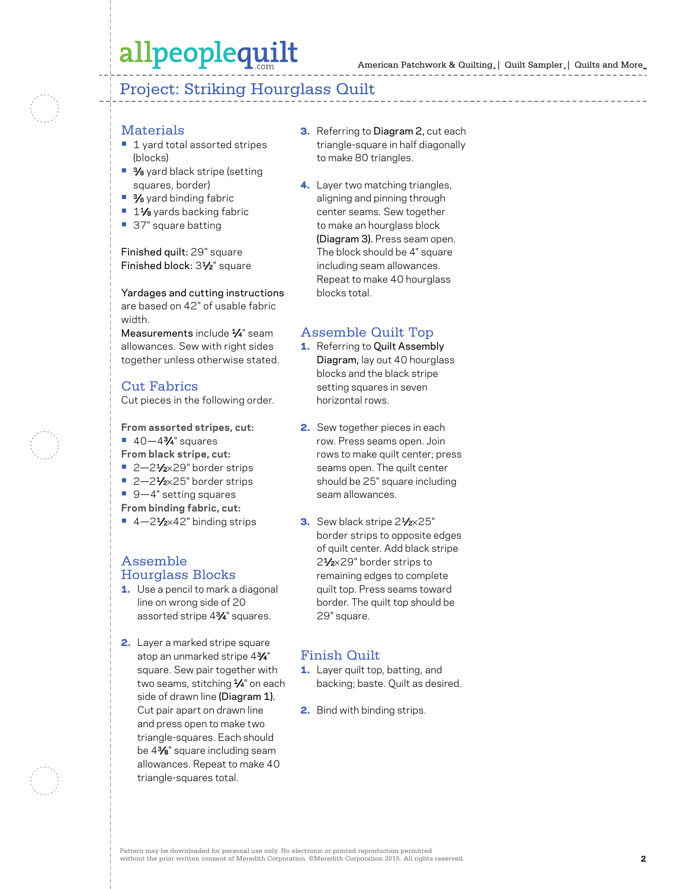# allpeoplequilt

### Project: Striking Hourglass Quilt

#### Materials

- 1 yard total assorted stripes (blocks)
- 3⁄8 yard black stripe (setting squares, border)
- **•** 3⁄8 yard binding fabric
- 11⁄8 yards backing fabric
- **•** 37" square batting

#### Finished quilt: 29" square Finished block: 31⁄2" square

Yardages and cutting instructions are based on 42" of usable fabric width.

Measurements include 1/4" seam allowances. Sew with right sides together unless otherwise stated.

## Cut Fabrics

Cut pieces in the following order.

**From assorted stripes, cut: •** 40—43⁄4" squares **From black stripe, cut:**

- 2-21⁄<sub>2×</sub>29" border strips
- **•** 2—21⁄2×25" border strips
- **•** 9—4" setting squares
- **From binding fabric, cut:**
- 4–2<sup>1</sup>⁄<sub>2×</sub>42" binding strips

#### Assemble Hourglass Blocks

- 1. Use a pencil to mark a diagonal line on wrong side of 20 assorted stripe 43⁄4" squares.
- 2. Layer a marked stripe square atop an unmarked stripe 43⁄4" square. Sew pair together with two seams, stitching 1/4" on each side of drawn line (Diagram 1). Cut pair apart on drawn line and press open to make two triangle-squares. Each should be 43⁄8" square including seam allowances. Repeat to make 40 triangle-squares total.
- **3.** Referring to Diagram 2, cut each triangle-square in half diagonally to make 80 triangles.
- 4. Layer two matching triangles, aligning and pinning through center seams. Sew together to make an hourglass block (Diagram 3). Press seam open. The block should be 4" square including seam allowances. Repeat to make 40 hourglass blocks total.

### Assemble Quilt Top

- 1. Referring to Quilt Assembly Diagram, lay out 40 hourglass blocks and the black stripe setting squares in seven horizontal rows.
- 2. Sew together pieces in each row. Press seams open. Join rows to make quilt center; press seams open. The quilt center should be 25" square including seam allowances.
- 3. Sew black stripe 2<sup>1</sup>/<sub>2</sub>×25" border strips to opposite edges of quilt center. Add black stripe 21⁄2×29" border strips to remaining edges to complete quilt top. Press seams toward border. The quilt top should be 29" square.

### Finish Quilt

- **1.** Layer quilt top, batting, and backing; baste. Quilt as desired.
- 2. Bind with binding strips.